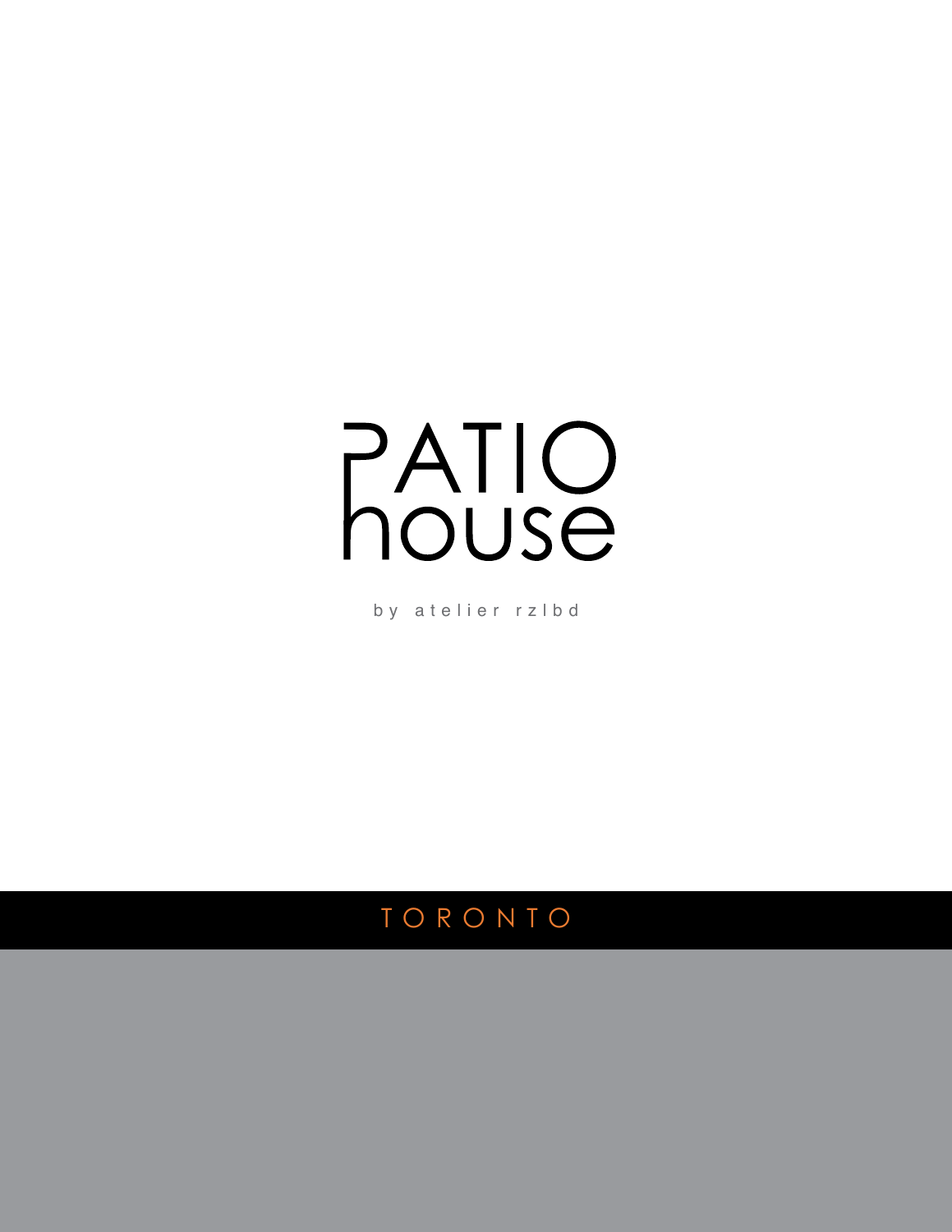# PATIO

by a telier rzlbd

#### T O R O N T O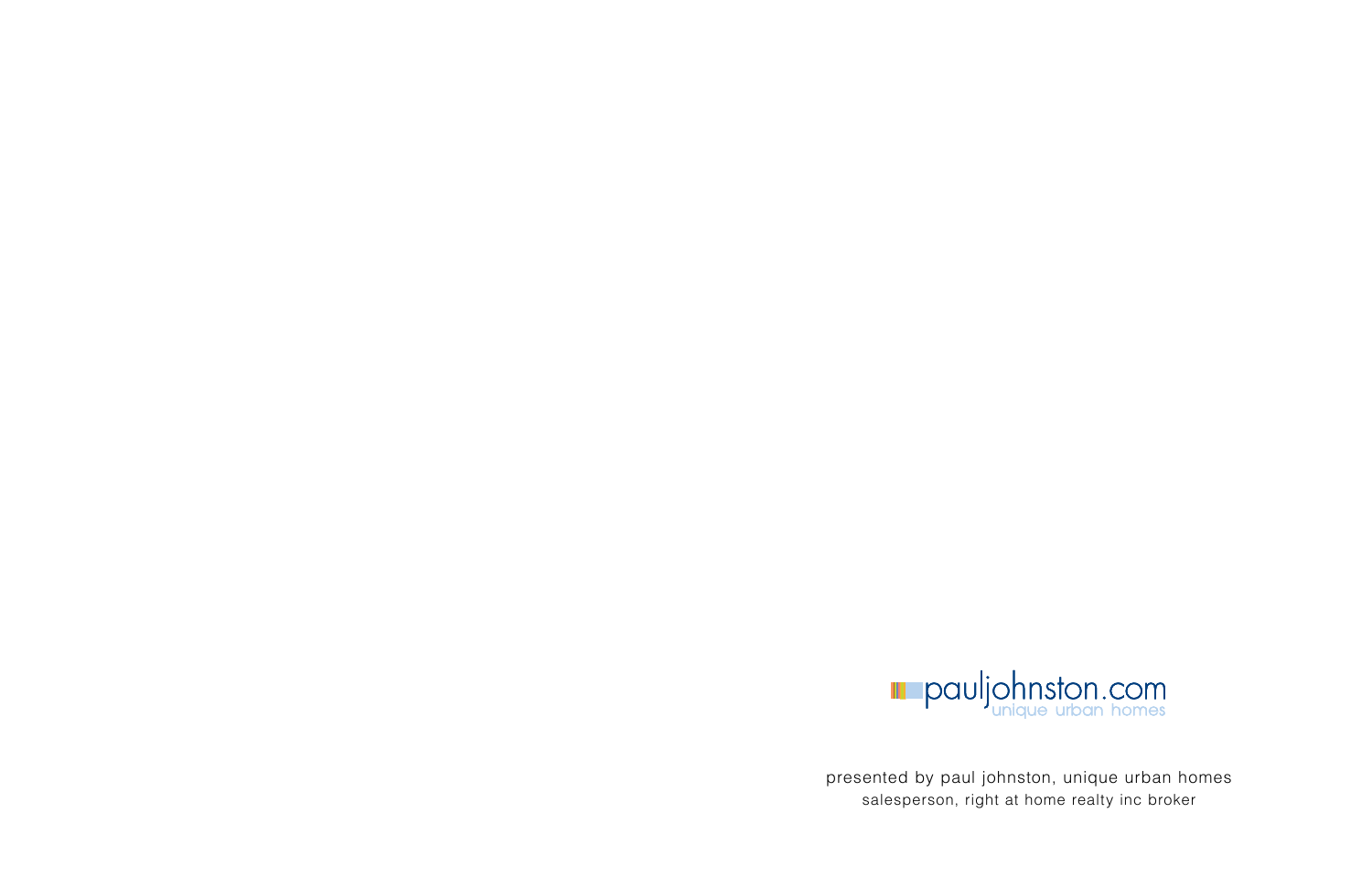

presented by paul johnston, unique urban homes salesperson, right at home realty inc broker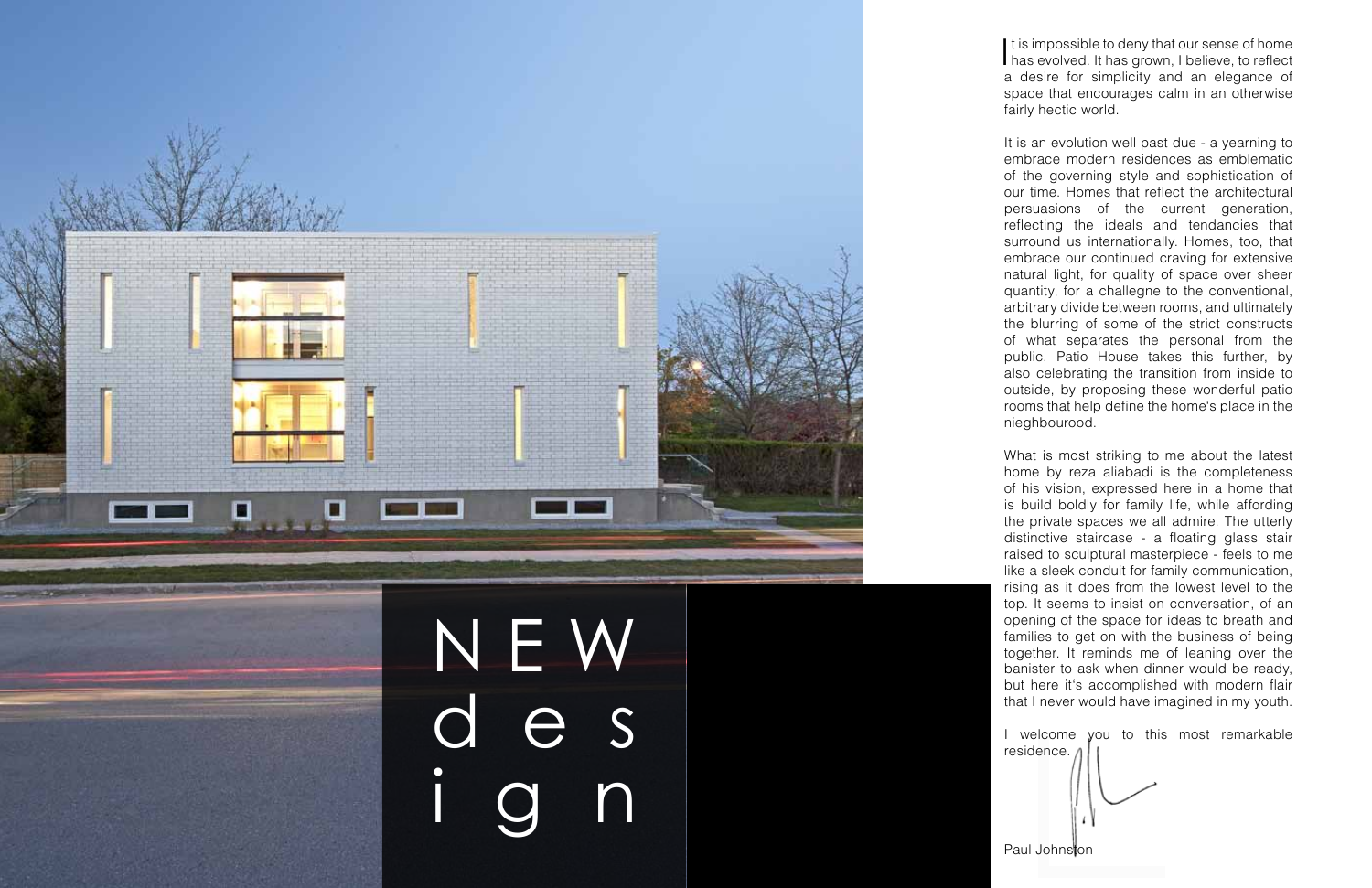

It is impossible to deny that our sense of home<br>has evolved. It has grown, I believe, to reflect t is impossible to deny that our sense of home a desire for simplicity and an elegance of space that encourages calm in an otherwise fairly hectic world.

It is an evolution well past due - a yearning to embrace modern residences as emblematic of the governing style and sophistication of our time. Homes that reflect the architectural persuasions of the current generation, reflecting the ideals and tendancies that surround us internationally. Homes, too, that embrace our continued craving for extensive natural light, for quality of space over sheer quantity, for a challegne to the conventional, arbitrary divide between rooms, and ultimately the blurring of some of the strict constructs of what separates the personal from the public. Patio House takes this further, by also celebrating the transition from inside to outside, by proposing these wonderful patio rooms that help define the home's place in the nieghbourood.

What is most striking to me about the latest home by reza aliabadi is the completeness of his vision, expressed here in a home that is build boldly for family life, while affording the private spaces we all admire. The utterly distinctive staircase - a floating glass stair raised to sculptural masterpiece - feels to me like a sleek conduit for family communication, rising as it does from the lowest level to the top. It seems to insist on conversation, of an opening of the space for ideas to breath and families to get on with the business of being together. It reminds me of leaning over the banister to ask when dinner would be ready, but here it's accomplished with modern flair that I never would have imagined in my youth.

I welcome you to this most remarkable residence.

Paul Johnston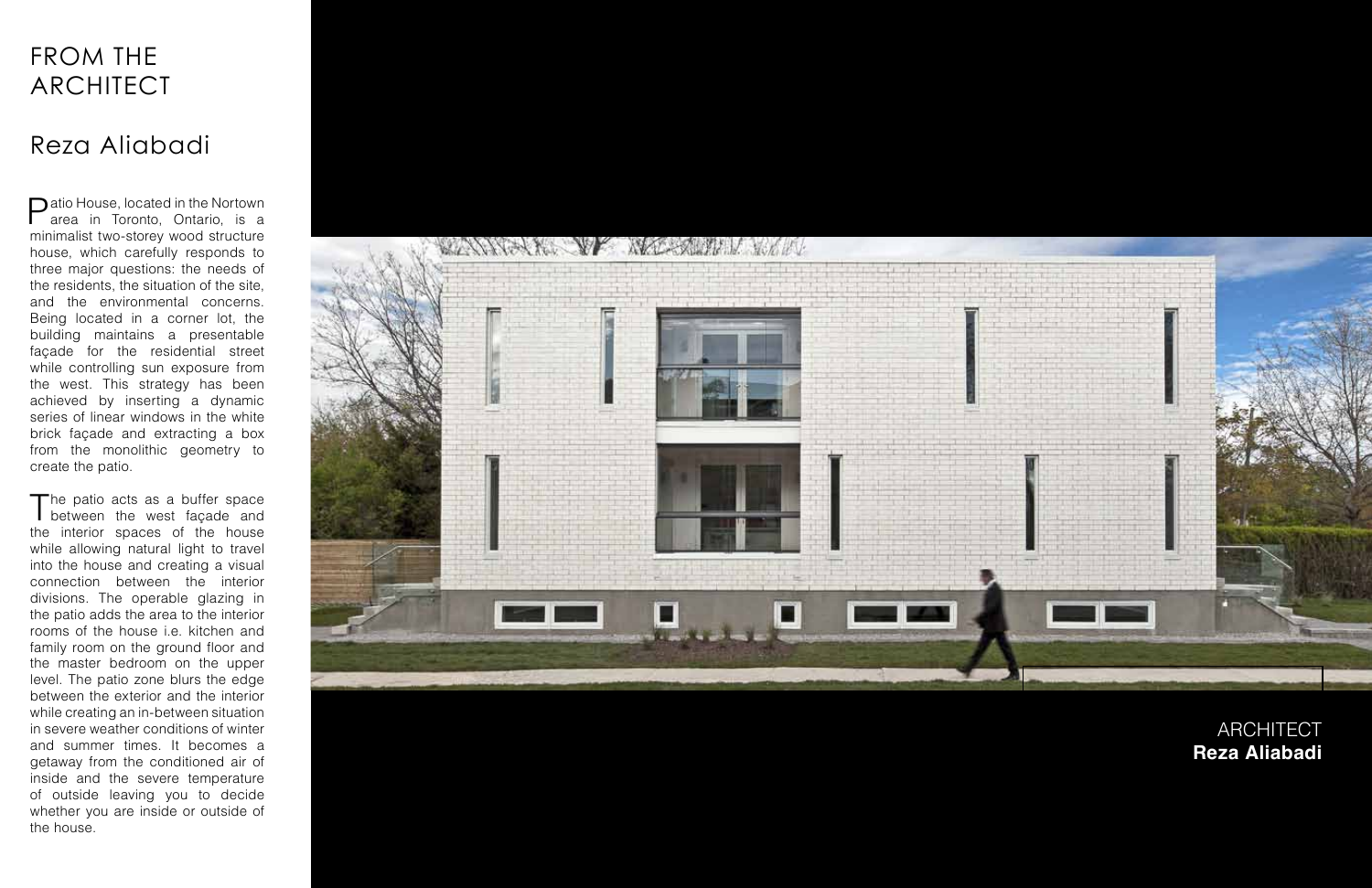# FROM THE ARCHITECT

### Reza Aliabadi

Patio House, located in the Nortown area in Toronto, Ontario, is a minimalist two-storey wood structure house, which carefully responds to three major questions: the needs of the residents, the situation of the site, and the environmental concerns. Being located in a corner lot, the building maintains a presentable façade for the residential street while controlling sun exposure from the west. This strategy has been achieved by inserting a dynamic series of linear windows in the white brick façade and extracting a box from the monolithic geometry to create the patio.

The patio acts as a buffer space<br>between the west façade and the interior spaces of the house while allowing natural light to travel into the house and creating a visual connection between the interior divisions. The operable glazing in the patio adds the area to the interior rooms of the house i.e. kitchen and family room on the ground floor and the master bedroom on the upper level. The patio zone blurs the edge between the exterior and the interior while creating an in-between situation in severe weather conditions of winter and summer times. It becomes a getaway from the conditioned air of inside and the severe temperature of outside leaving you to decide whether you are inside or outside of the house.



ARCHITECT **Reza Aliabadi**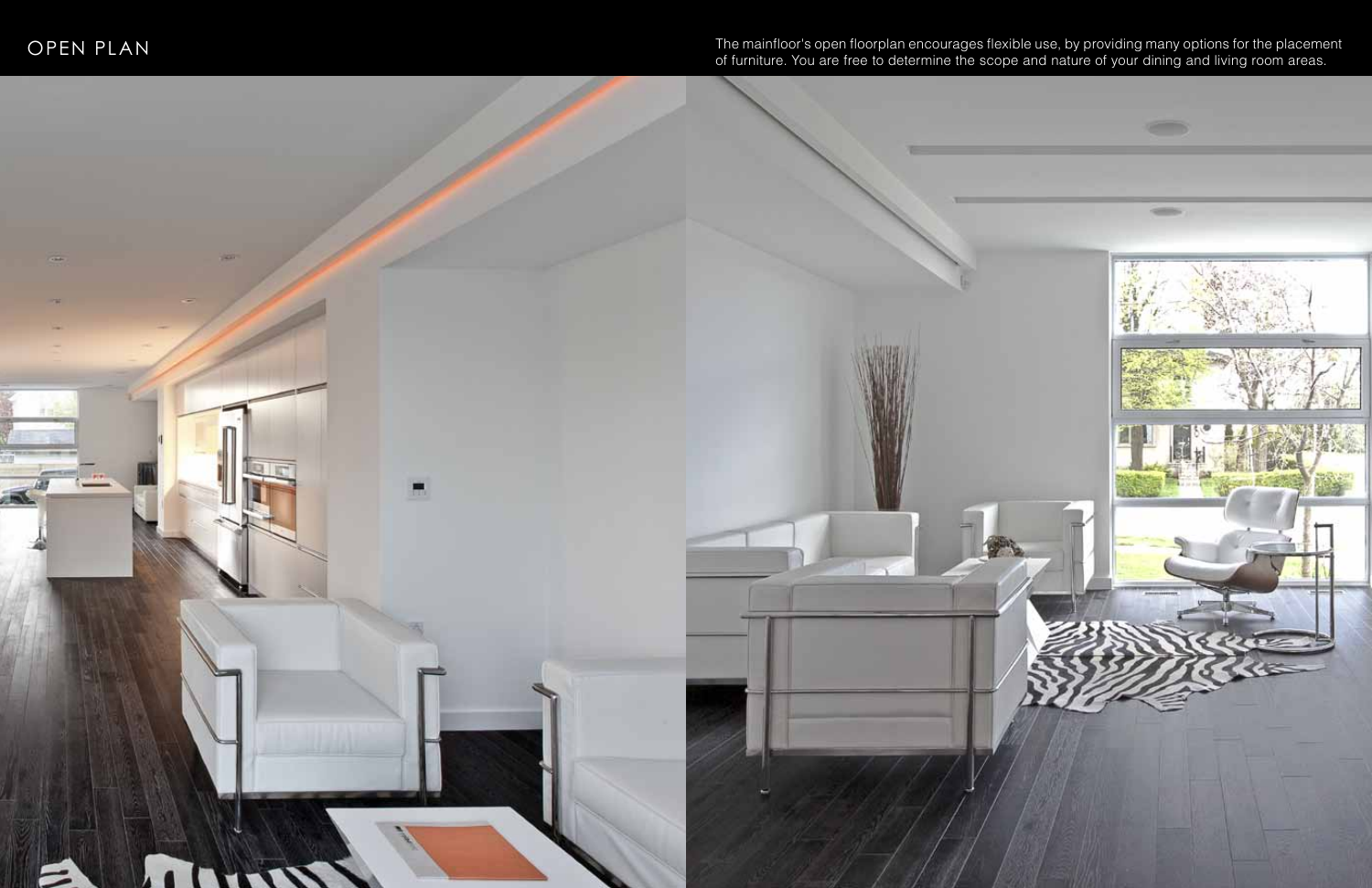OPEN PLAN The mainfloor's open floorplan encourages flexible use, by providing many options for the placement of turniture. You are free to determine the scope and nature of your dining and living room areas.

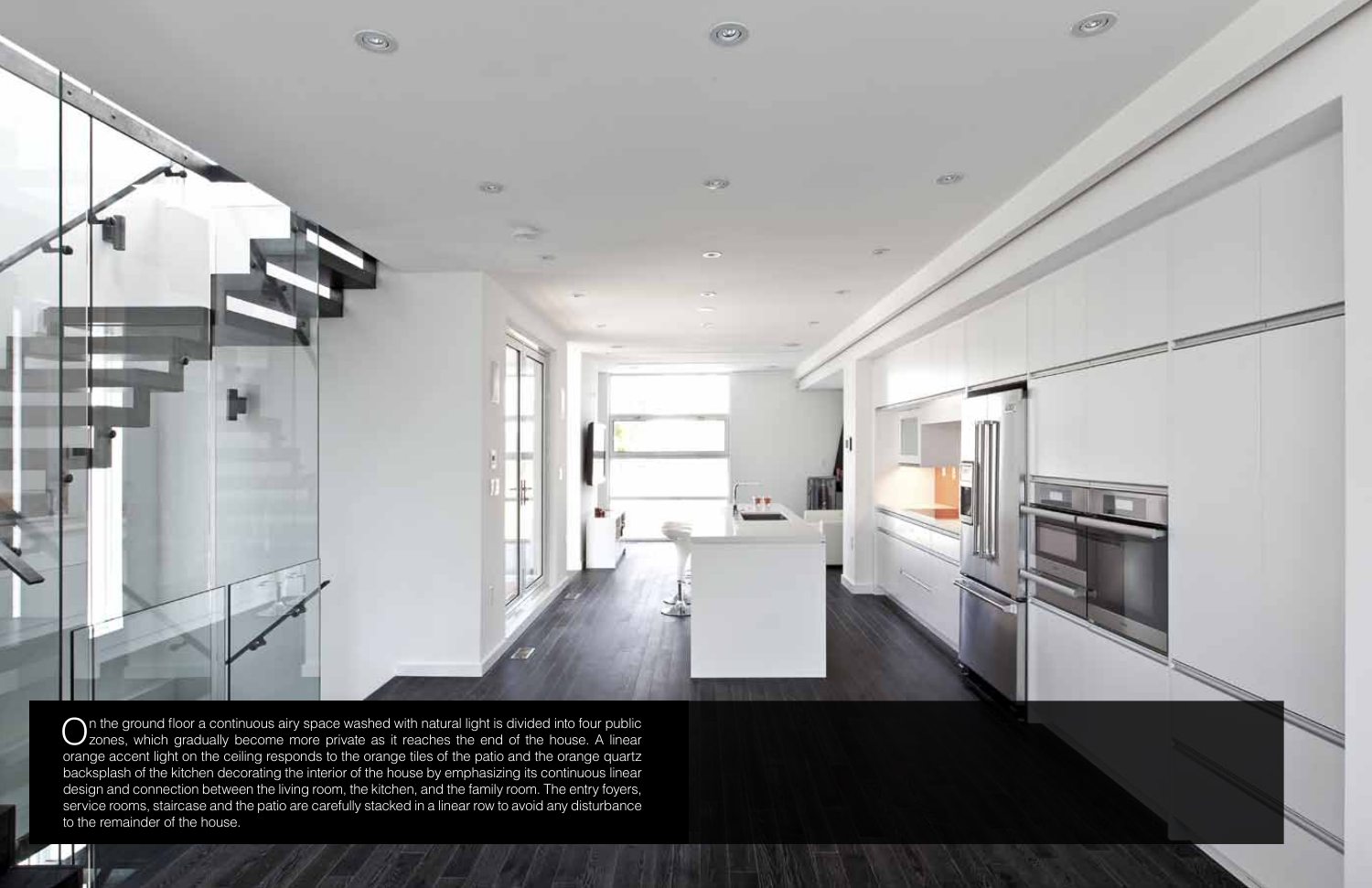

 $\bigcirc$  an the ground floor a continuous airy space washed with natural light is divided into four public zones, which gradually become more private as it reaches the end of the house. A linear orange accent light on the ceiling responds to the orange tiles of the patio and the orange quartz backsplash of the kitchen decorating the interior of the house by emphasizing its continuous linear design and connection between the living room, the kitchen, and the family room. The entry foyers, service rooms, staircase and the patio are carefully stacked in a linear row to avoid any disturbance to the remainder of the house.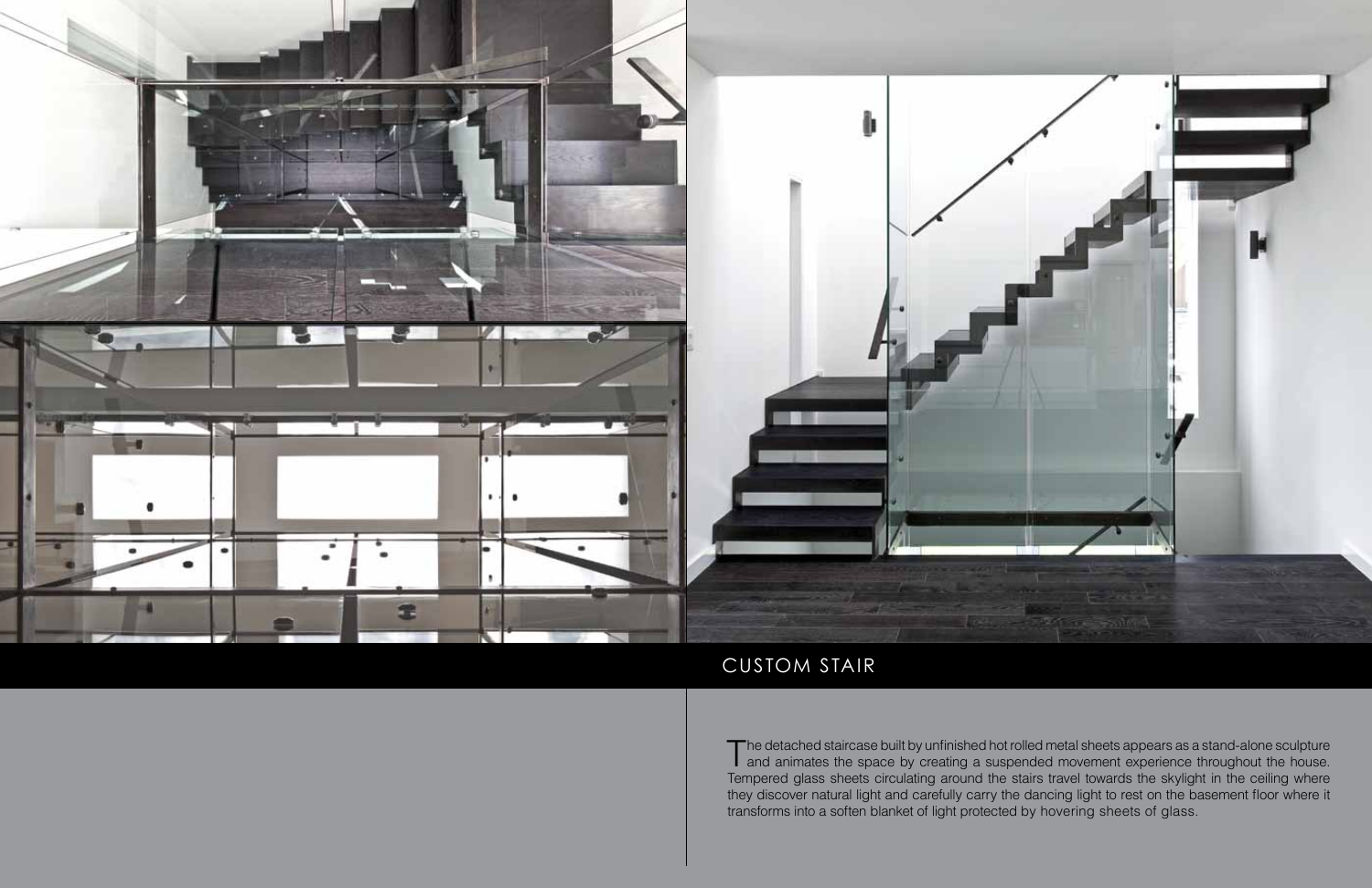



#### CUSTOM STAIR

The detached staircase built by unfinished hot rolled metal sheets appears as a stand-alone sculpture<br>and animates the space by creating a suspended movement experience throughout the house. Tempered glass sheets circulating around the stairs travel towards the skylight in the ceiling where they discover natural light and carefully carry the dancing light to rest on the basement floor where it transforms into a soften blanket of light protected by hovering sheets of glass.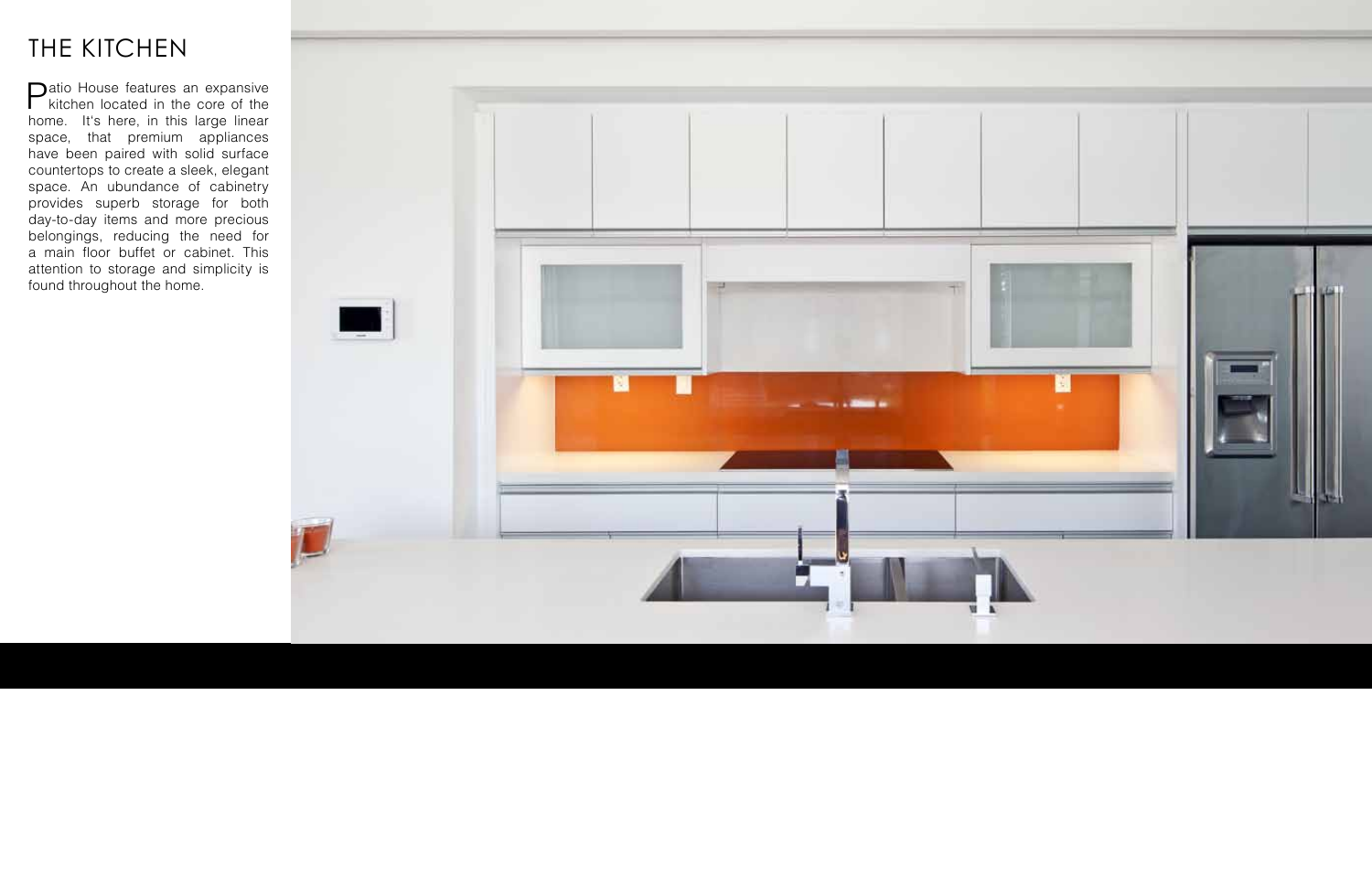# THE KITCHEN

Patio House features an expansive kitchen located in the core of the home. It's here, in this large linear space, that premium appliances have been paired with solid surface countertops to create a sleek, elegant space. An ubundance of cabinetry provides superb storage for both day-to-day items and more precious belongings, reducing the need for a main floor buffet or cabinet. This attention to storage and simplicity is found throughout the home.

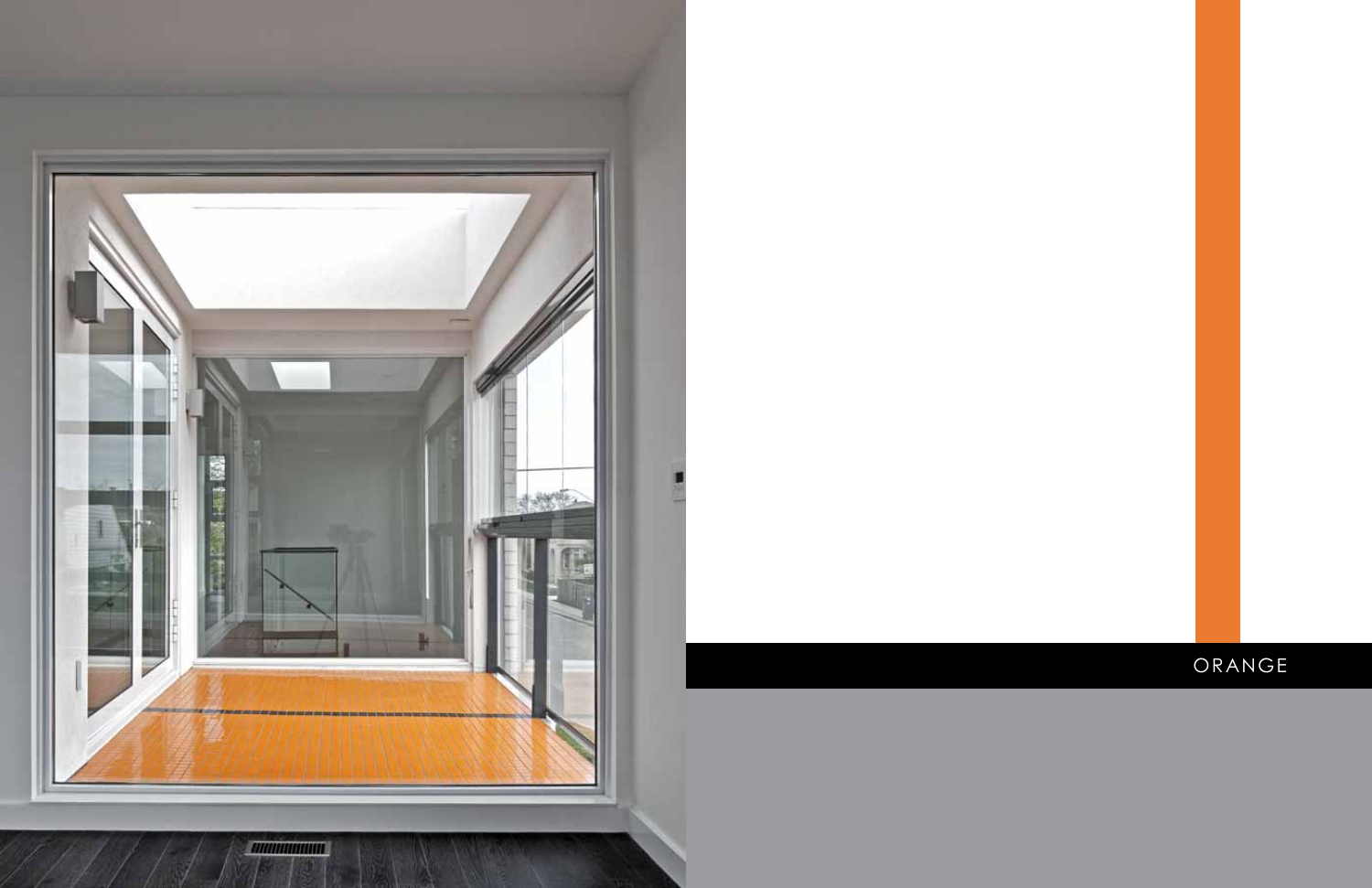

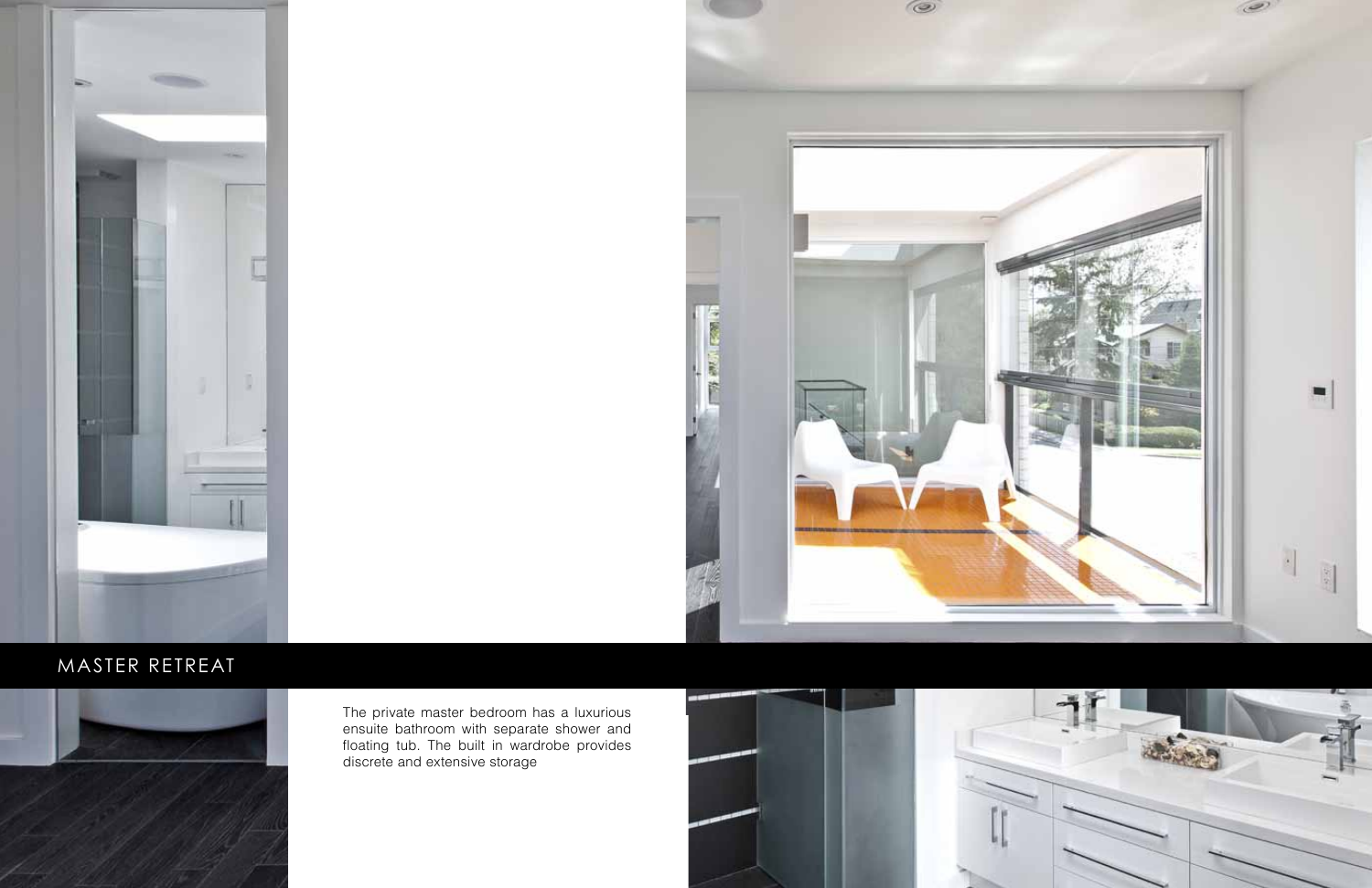



#### MASTER RETREAT



The private master bedroom has a luxurious ensuite bathroom with separate shower and floating tub. The built in wardrobe provides discrete and extensive storage